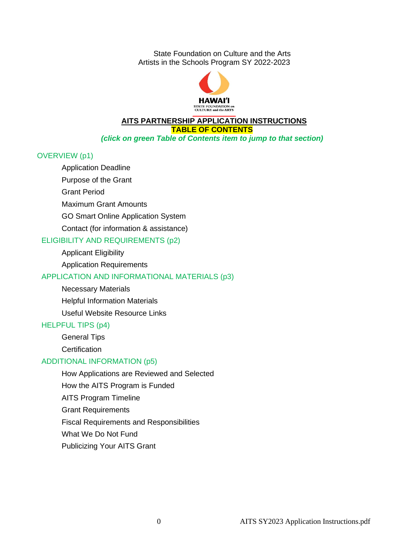State Foundation on Culture and the Arts Artists in the Schools Program SY 2022-2023



#### **AITS PARTNERSHIP APPLICATION INSTRUCTIONS TABLE OF CONTENTS** *(click on green Table of Contents item to jump to that section)*

#### OVERVIEW (p1)

Application Deadline

Purpose of the Grant

Grant Period

Maximum Grant Amounts

GO Smart Online Application System

Contact (for information & assistance)

### ELIGIBILITY AND REQUIREMENTS (p2)

Applicant Eligibility

Application Requirements

### APPLICATION AND INFORMATIONAL MATERIALS (p3)

Necessary Materials

Helpful Information Materials

Useful Website Resource Links

### HELPFUL TIPS (p4)

General Tips

**Certification** 

### ADDITIONAL INFORMATION (p5)

How Applications are Reviewed and Selected How the AITS Program is Funded AITS Program Timeline Grant Requirements Fiscal Requirements and Responsibilities What We Do Not Fund Publicizing Your AITS Grant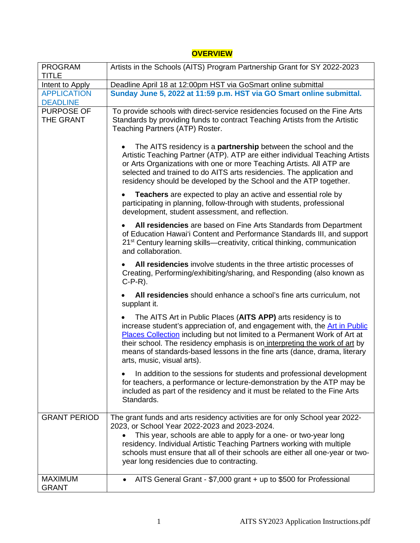# **OVERVIEW**

| <b>PROGRAM</b><br>TITLE        | Artists in the Schools (AITS) Program Partnership Grant for SY 2022-2023                                                                                                                                                                                                                                                                                                                                          |
|--------------------------------|-------------------------------------------------------------------------------------------------------------------------------------------------------------------------------------------------------------------------------------------------------------------------------------------------------------------------------------------------------------------------------------------------------------------|
| Intent to Apply                | Deadline April 18 at 12:00pm HST via GoSmart online submittal                                                                                                                                                                                                                                                                                                                                                     |
| <b>APPLICATION</b>             | Sunday June 5, 2022 at 11:59 p.m. HST via GO Smart online submittal.                                                                                                                                                                                                                                                                                                                                              |
| <b>DEADLINE</b>                |                                                                                                                                                                                                                                                                                                                                                                                                                   |
| <b>PURPOSE OF</b><br>THE GRANT | To provide schools with direct-service residencies focused on the Fine Arts<br>Standards by providing funds to contract Teaching Artists from the Artistic<br>Teaching Partners (ATP) Roster.                                                                                                                                                                                                                     |
|                                | The AITS residency is a <b>partnership</b> between the school and the<br>Artistic Teaching Partner (ATP). ATP are either individual Teaching Artists<br>or Arts Organizations with one or more Teaching Artists. All ATP are<br>selected and trained to do AITS arts residencies. The application and<br>residency should be developed by the School and the ATP together.                                        |
|                                | <b>Teachers</b> are expected to play an active and essential role by<br>participating in planning, follow-through with students, professional<br>development, student assessment, and reflection.                                                                                                                                                                                                                 |
|                                | All residencies are based on Fine Arts Standards from Department<br>of Education Hawai'i Content and Performance Standards III, and support<br>21 <sup>st</sup> Century learning skills—creativity, critical thinking, communication<br>and collaboration.                                                                                                                                                        |
|                                | All residencies involve students in the three artistic processes of<br>Creating, Performing/exhibiting/sharing, and Responding (also known as<br>$C-P-R$ ).                                                                                                                                                                                                                                                       |
|                                | All residencies should enhance a school's fine arts curriculum, not<br>supplant it.                                                                                                                                                                                                                                                                                                                               |
|                                | The AITS Art in Public Places (AITS APP) arts residency is to<br>increase student's appreciation of, and engagement with, the Art in Public<br>Places Collection including but not limited to a Permanent Work of Art at<br>their school. The residency emphasis is on interpreting the work of art by<br>means of standards-based lessons in the fine arts (dance, drama, literary<br>arts, music, visual arts). |
|                                | In addition to the sessions for students and professional development<br>for teachers, a performance or lecture-demonstration by the ATP may be<br>included as part of the residency and it must be related to the Fine Arts<br>Standards.                                                                                                                                                                        |
| <b>GRANT PERIOD</b>            | The grant funds and arts residency activities are for only School year 2022-<br>2023, or School Year 2022-2023 and 2023-2024.                                                                                                                                                                                                                                                                                     |
|                                | This year, schools are able to apply for a one- or two-year long<br>residency. Individual Artistic Teaching Partners working with multiple<br>schools must ensure that all of their schools are either all one-year or two-<br>year long residencies due to contracting.                                                                                                                                          |
| <b>MAXIMUM</b><br><b>GRANT</b> | AITS General Grant - \$7,000 grant + up to \$500 for Professional                                                                                                                                                                                                                                                                                                                                                 |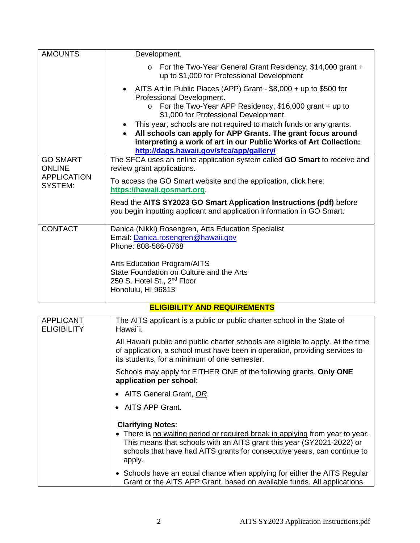| <b>AMOUNTS</b>                                                           | Development.                                                                                                                                                                                                                                                                                                                                                                                                                                                           |
|--------------------------------------------------------------------------|------------------------------------------------------------------------------------------------------------------------------------------------------------------------------------------------------------------------------------------------------------------------------------------------------------------------------------------------------------------------------------------------------------------------------------------------------------------------|
|                                                                          | For the Two-Year General Grant Residency, \$14,000 grant +<br>$\Omega$<br>up to \$1,000 for Professional Development                                                                                                                                                                                                                                                                                                                                                   |
|                                                                          | • AITS Art in Public Places (APP) Grant - \$8,000 + up to \$500 for<br>Professional Development.<br>For the Two-Year APP Residency, \$16,000 grant + up to<br>$\circ$<br>\$1,000 for Professional Development.<br>• This year, schools are not required to match funds or any grants.<br>All schools can apply for APP Grants. The grant focus around<br>interpreting a work of art in our Public Works of Art Collection:<br>http://dags.hawaii.gov/sfca/app/gallery/ |
| <b>GO SMART</b><br><b>ONLINE</b><br><b>APPLICATION</b><br><b>SYSTEM:</b> | The SFCA uses an online application system called GO Smart to receive and<br>review grant applications.                                                                                                                                                                                                                                                                                                                                                                |
|                                                                          | To access the GO Smart website and the application, click here:<br>https://hawaii.gosmart.org.                                                                                                                                                                                                                                                                                                                                                                         |
|                                                                          | Read the AITS SY2023 GO Smart Application Instructions (pdf) before<br>you begin inputting applicant and application information in GO Smart.                                                                                                                                                                                                                                                                                                                          |
| <b>CONTACT</b>                                                           | Danica (Nikki) Rosengren, Arts Education Specialist                                                                                                                                                                                                                                                                                                                                                                                                                    |
|                                                                          | Email: Danica.rosengren@hawaii.gov<br>Phone: 808-586-0768                                                                                                                                                                                                                                                                                                                                                                                                              |
|                                                                          | <b>Arts Education Program/AITS</b><br>State Foundation on Culture and the Arts<br>250 S. Hotel St., 2 <sup>nd</sup> Floor<br>Honolulu, HI 96813                                                                                                                                                                                                                                                                                                                        |

# **ELIGIBILITY AND REQUIREMENTS**

| <b>APPLICANT</b><br><b>ELIGIBILITY</b> | The AITS applicant is a public or public charter school in the State of<br>Hawai`i.                                                                                                                                                          |
|----------------------------------------|----------------------------------------------------------------------------------------------------------------------------------------------------------------------------------------------------------------------------------------------|
|                                        | All Hawai'i public and public charter schools are eligible to apply. At the time<br>of application, a school must have been in operation, providing services to<br>its students, for a minimum of one semester.                              |
|                                        | Schools may apply for EITHER ONE of the following grants. Only ONE<br>application per school:                                                                                                                                                |
|                                        | • AITS General Grant, OR.                                                                                                                                                                                                                    |
|                                        | • AITS APP Grant.                                                                                                                                                                                                                            |
|                                        | <b>Clarifying Notes:</b>                                                                                                                                                                                                                     |
|                                        | • There is no waiting period or required break in applying from year to year.<br>This means that schools with an AITS grant this year (SY2021-2022) or<br>schools that have had AITS grants for consecutive years, can continue to<br>apply. |
|                                        | • Schools have an equal chance when applying for either the AITS Regular<br>Grant or the AITS APP Grant, based on available funds. All applications                                                                                          |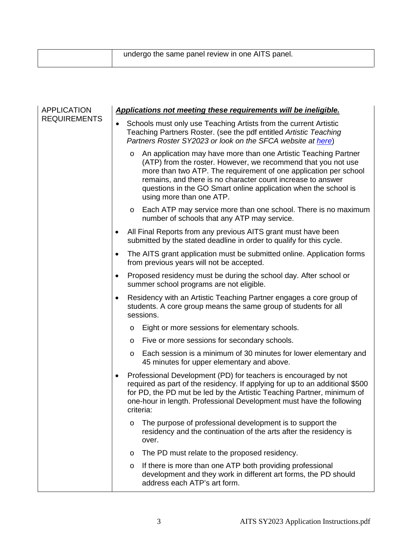| undergo the same panel review in one AITS panel. |
|--------------------------------------------------|
|                                                  |

| <b>APPLICATION</b><br><b>REQUIREMENTS</b> | Applications not meeting these requirements will be ineligible. |                                                                                                                                                                                                                                                                                                                                                                               |  |  |
|-------------------------------------------|-----------------------------------------------------------------|-------------------------------------------------------------------------------------------------------------------------------------------------------------------------------------------------------------------------------------------------------------------------------------------------------------------------------------------------------------------------------|--|--|
|                                           |                                                                 | Schools must only use Teaching Artists from the current Artistic<br>Teaching Partners Roster. (see the pdf entitled Artistic Teaching<br>Partners Roster SY2023 or look on the SFCA website at here)                                                                                                                                                                          |  |  |
|                                           |                                                                 | An application may have more than one Artistic Teaching Partner<br>$\circ$<br>(ATP) from the roster. However, we recommend that you not use<br>more than two ATP. The requirement of one application per school<br>remains, and there is no character count increase to answer<br>questions in the GO Smart online application when the school is<br>using more than one ATP. |  |  |
|                                           |                                                                 | o Each ATP may service more than one school. There is no maximum<br>number of schools that any ATP may service.                                                                                                                                                                                                                                                               |  |  |
|                                           | $\bullet$                                                       | All Final Reports from any previous AITS grant must have been<br>submitted by the stated deadline in order to qualify for this cycle.                                                                                                                                                                                                                                         |  |  |
|                                           | $\bullet$                                                       | The AITS grant application must be submitted online. Application forms<br>from previous years will not be accepted.                                                                                                                                                                                                                                                           |  |  |
|                                           | $\bullet$                                                       | Proposed residency must be during the school day. After school or<br>summer school programs are not eligible.                                                                                                                                                                                                                                                                 |  |  |
|                                           | $\bullet$                                                       | Residency with an Artistic Teaching Partner engages a core group of<br>students. A core group means the same group of students for all<br>sessions.                                                                                                                                                                                                                           |  |  |
|                                           |                                                                 | Eight or more sessions for elementary schools.<br>O                                                                                                                                                                                                                                                                                                                           |  |  |
|                                           |                                                                 | Five or more sessions for secondary schools.<br>$\circ$                                                                                                                                                                                                                                                                                                                       |  |  |
|                                           |                                                                 | Each session is a minimum of 30 minutes for lower elementary and<br>$\circ$<br>45 minutes for upper elementary and above.                                                                                                                                                                                                                                                     |  |  |
|                                           | ٠                                                               | Professional Development (PD) for teachers is encouraged by not<br>required as part of the residency. If applying for up to an additional \$500<br>for PD, the PD mut be led by the Artistic Teaching Partner, minimum of<br>one-hour in length. Professional Development must have the following<br>criteria:                                                                |  |  |
|                                           |                                                                 | The purpose of professional development is to support the<br>$\circ$<br>residency and the continuation of the arts after the residency is<br>over.                                                                                                                                                                                                                            |  |  |
|                                           |                                                                 | The PD must relate to the proposed residency.<br>O                                                                                                                                                                                                                                                                                                                            |  |  |
|                                           |                                                                 | If there is more than one ATP both providing professional<br>$\circ$<br>development and they work in different art forms, the PD should<br>address each ATP's art form.                                                                                                                                                                                                       |  |  |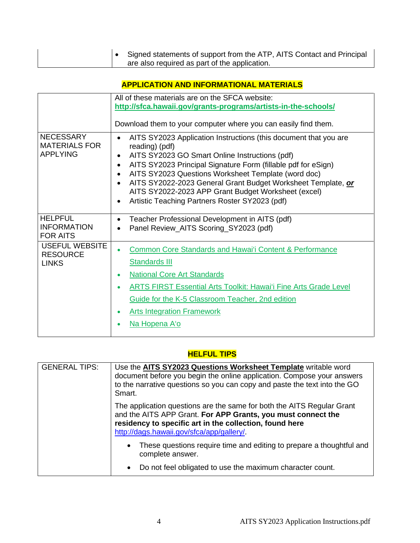|  | │● Signed statements of support from the ATP, AITS Contact and Principal |
|--|--------------------------------------------------------------------------|
|  | are also required as part of the application.                            |

# **APPLICATION AND INFORMATIONAL MATERIALS**

|                                                             | All of these materials are on the SFCA website:<br>http://sfca.hawaii.gov/grants-programs/artists-in-the-schools/                                                                                                                                                                                                                                                                                                                                                                                      |
|-------------------------------------------------------------|--------------------------------------------------------------------------------------------------------------------------------------------------------------------------------------------------------------------------------------------------------------------------------------------------------------------------------------------------------------------------------------------------------------------------------------------------------------------------------------------------------|
|                                                             | Download them to your computer where you can easily find them.                                                                                                                                                                                                                                                                                                                                                                                                                                         |
| <b>NECESSARY</b><br><b>MATERIALS FOR</b><br><b>APPLYING</b> | AITS SY2023 Application Instructions (this document that you are<br>reading) (pdf)<br>AITS SY2023 GO Smart Online Instructions (pdf)<br>$\bullet$<br>AITS SY2023 Principal Signature Form (fillable pdf for eSign)<br>$\bullet$<br>AITS SY2023 Questions Worksheet Template (word doc)<br>$\bullet$<br>AITS SY2022-2023 General Grant Budget Worksheet Template, or<br>$\bullet$<br>AITS SY2022-2023 APP Grant Budget Worksheet (excel)<br>Artistic Teaching Partners Roster SY2023 (pdf)<br>$\bullet$ |
| <b>HELPFUL</b><br><b>INFORMATION</b><br><b>FOR AITS</b>     | Teacher Professional Development in AITS (pdf)<br>$\bullet$<br>Panel Review_AITS Scoring_SY2023 (pdf)<br>$\bullet$                                                                                                                                                                                                                                                                                                                                                                                     |
| <b>USEFUL WEBSITE</b><br><b>RESOURCE</b><br><b>LINKS</b>    | <b>Common Core Standards and Hawai'i Content &amp; Performance</b><br><b>Standards III</b><br><b>National Core Art Standards</b><br>$\bullet$<br><b>ARTS FIRST Essential Arts Toolkit: Hawai'i Fine Arts Grade Level</b><br>$\bullet$<br>Guide for the K-5 Classroom Teacher, 2nd edition<br><b>Arts Integration Framework</b><br>$\bullet$<br>Na Hopena A'o                                                                                                                                           |

### **HELFUL TIPS**

| <b>GENERAL TIPS:</b> | Use the AITS SY2023 Questions Worksheet Template writable word<br>document before you begin the online application. Compose your answers<br>to the narrative questions so you can copy and paste the text into the GO<br>Smart.               |
|----------------------|-----------------------------------------------------------------------------------------------------------------------------------------------------------------------------------------------------------------------------------------------|
|                      | The application questions are the same for both the AITS Regular Grant<br>and the AITS APP Grant. For APP Grants, you must connect the<br>residency to specific art in the collection, found here<br>http://dags.hawaii.gov/sfca/app/gallery/ |
|                      | These questions require time and editing to prepare a thoughtful and<br>$\bullet$<br>complete answer.                                                                                                                                         |
|                      | Do not feel obligated to use the maximum character count.<br>$\bullet$                                                                                                                                                                        |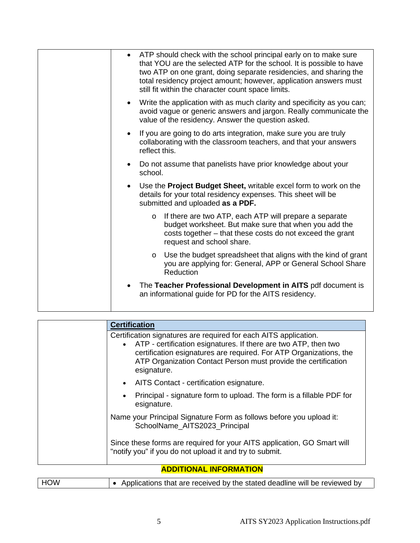| ATP should check with the school principal early on to make sure<br>$\bullet$<br>that YOU are the selected ATP for the school. It is possible to have<br>two ATP on one grant, doing separate residencies, and sharing the<br>total residency project amount; however, application answers must<br>still fit within the character count space limits. |
|-------------------------------------------------------------------------------------------------------------------------------------------------------------------------------------------------------------------------------------------------------------------------------------------------------------------------------------------------------|
| Write the application with as much clarity and specificity as you can;<br>$\bullet$<br>avoid vague or generic answers and jargon. Really communicate the<br>value of the residency. Answer the question asked.                                                                                                                                        |
| If you are going to do arts integration, make sure you are truly<br>$\bullet$<br>collaborating with the classroom teachers, and that your answers<br>reflect this.                                                                                                                                                                                    |
| Do not assume that panelists have prior knowledge about your<br>school.                                                                                                                                                                                                                                                                               |
| Use the <b>Project Budget Sheet,</b> writable excel form to work on the<br>$\bullet$<br>details for your total residency expenses. This sheet will be<br>submitted and uploaded as a PDF.                                                                                                                                                             |
| If there are two ATP, each ATP will prepare a separate<br>$\circ$<br>budget worksheet. But make sure that when you add the<br>costs together - that these costs do not exceed the grant<br>request and school share.                                                                                                                                  |
| Use the budget spreadsheet that aligns with the kind of grant<br>$\circ$<br>you are applying for: General, APP or General School Share<br>Reduction                                                                                                                                                                                                   |
| The Teacher Professional Development in AITS pdf document is<br>an informational guide for PD for the AITS residency.                                                                                                                                                                                                                                 |

| <b>Certification</b>                                                                                                                                                                                                                                                                         |
|----------------------------------------------------------------------------------------------------------------------------------------------------------------------------------------------------------------------------------------------------------------------------------------------|
| Certification signatures are required for each AITS application.<br>• ATP - certification esignatures. If there are two ATP, then two<br>certification esignatures are required. For ATP Organizations, the<br>ATP Organization Contact Person must provide the certification<br>esignature. |
| • AITS Contact - certification esignature.                                                                                                                                                                                                                                                   |
| Principal - signature form to upload. The form is a fillable PDF for<br>$\bullet$<br>esignature.                                                                                                                                                                                             |
| Name your Principal Signature Form as follows before you upload it:<br>SchoolName AITS2023 Principal                                                                                                                                                                                         |
| Since these forms are required for your AITS application, GO Smart will<br>"notify you" if you do not upload it and try to submit.                                                                                                                                                           |
| <u> ABBELANIAI INFABILATIANI</u>                                                                                                                                                                                                                                                             |

### **ADDITIONAL INFORMATION**

| I HOW<br>↓ • Applications that are received by the stated deadline will be reviewed by |  |
|----------------------------------------------------------------------------------------|--|
|                                                                                        |  |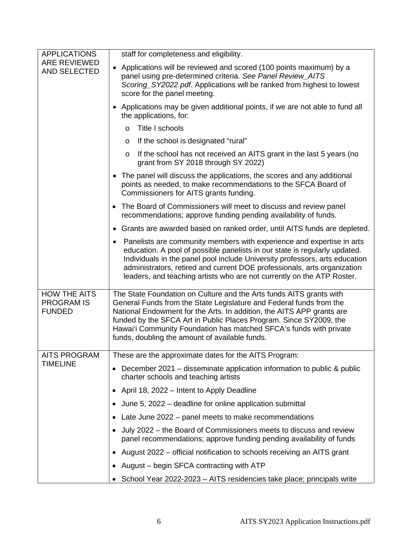| <b>APPLICATIONS</b>                                       | staff for completeness and eligibility.                                                                                                                                                                                                                                                                                                                                                                           |
|-----------------------------------------------------------|-------------------------------------------------------------------------------------------------------------------------------------------------------------------------------------------------------------------------------------------------------------------------------------------------------------------------------------------------------------------------------------------------------------------|
| ARE REVIEWED<br>AND SELECTED                              | Applications will be reviewed and scored (100 points maximum) by a<br>$\bullet$<br>panel using pre-determined criteria. See Panel Review_AITS<br>Scoring_SY2022.pdf. Applications will be ranked from highest to lowest<br>score for the panel meeting.                                                                                                                                                           |
|                                                           | • Applications may be given additional points, if we are not able to fund all<br>the applications, for:                                                                                                                                                                                                                                                                                                           |
|                                                           | Title I schools<br>$\circ$                                                                                                                                                                                                                                                                                                                                                                                        |
|                                                           | If the school is designated "rural"<br>$\circ$                                                                                                                                                                                                                                                                                                                                                                    |
|                                                           | If the school has not received an AITS grant in the last 5 years (no<br>$\circ$<br>grant from SY 2018 through SY 2022)                                                                                                                                                                                                                                                                                            |
|                                                           | • The panel will discuss the applications, the scores and any additional<br>points as needed, to make recommendations to the SFCA Board of<br>Commissioners for AITS grants funding.                                                                                                                                                                                                                              |
|                                                           | • The Board of Commissioners will meet to discuss and review panel<br>recommendations; approve funding pending availability of funds.                                                                                                                                                                                                                                                                             |
|                                                           | • Grants are awarded based on ranked order, until AITS funds are depleted.                                                                                                                                                                                                                                                                                                                                        |
|                                                           | Panelists are community members with experience and expertise in arts<br>education. A pool of possible panelists in our state is regularly updated.<br>Individuals in the panel pool include University professors, arts education<br>administrators, retired and current DOE professionals, arts organization<br>leaders, and teaching artists who are not currently on the ATP Roster.                          |
| <b>HOW THE AITS</b><br><b>PROGRAM IS</b><br><b>FUNDED</b> | The State Foundation on Culture and the Arts funds AITS grants with<br>General Funds from the State Legislature and Federal funds from the<br>National Endowment for the Arts. In addition, the AITS APP grants are<br>funded by the SFCA Art in Public Places Program. Since SY2009, the<br>Hawai'i Community Foundation has matched SFCA's funds with private<br>funds, doubling the amount of available funds. |
| <b>AITS PROGRAM</b>                                       | These are the approximate dates for the AITS Program:                                                                                                                                                                                                                                                                                                                                                             |
| <b>TIMELINE</b>                                           | December 2021 – disseminate application information to public & public<br>charter schools and teaching artists                                                                                                                                                                                                                                                                                                    |
|                                                           | April 18, 2022 – Intent to Apply Deadline<br>$\bullet$                                                                                                                                                                                                                                                                                                                                                            |
|                                                           | June 5, 2022 – deadline for online application submittal                                                                                                                                                                                                                                                                                                                                                          |
|                                                           | Late June 2022 – panel meets to make recommendations<br>$\bullet$                                                                                                                                                                                                                                                                                                                                                 |
|                                                           | July 2022 – the Board of Commissioners meets to discuss and review<br>panel recommendations; approve funding pending availability of funds                                                                                                                                                                                                                                                                        |
|                                                           | August 2022 – official notification to schools receiving an AITS grant                                                                                                                                                                                                                                                                                                                                            |
|                                                           | August – begin SFCA contracting with ATP                                                                                                                                                                                                                                                                                                                                                                          |
|                                                           | School Year 2022-2023 - AITS residencies take place; principals write                                                                                                                                                                                                                                                                                                                                             |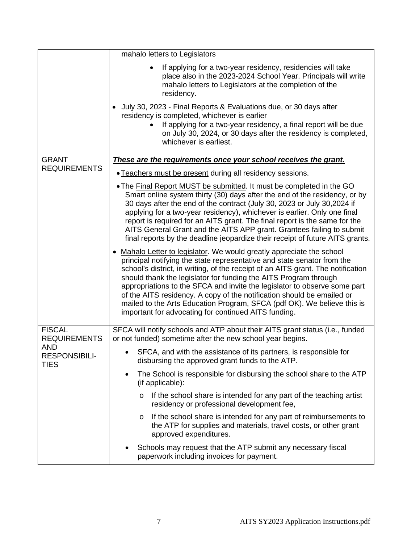|                                      | mahalo letters to Legislators                                                                                                                                                                                                                                                                                                                                                                                                                                                                                                                                                                                                                                                                                                                                                                                                                                                                                                                                                                                       |
|--------------------------------------|---------------------------------------------------------------------------------------------------------------------------------------------------------------------------------------------------------------------------------------------------------------------------------------------------------------------------------------------------------------------------------------------------------------------------------------------------------------------------------------------------------------------------------------------------------------------------------------------------------------------------------------------------------------------------------------------------------------------------------------------------------------------------------------------------------------------------------------------------------------------------------------------------------------------------------------------------------------------------------------------------------------------|
|                                      | If applying for a two-year residency, residencies will take<br>place also in the 2023-2024 School Year. Principals will write<br>mahalo letters to Legislators at the completion of the<br>residency.                                                                                                                                                                                                                                                                                                                                                                                                                                                                                                                                                                                                                                                                                                                                                                                                               |
|                                      | July 30, 2023 - Final Reports & Evaluations due, or 30 days after<br>residency is completed, whichever is earlier<br>If applying for a two-year residency, a final report will be due<br>on July 30, 2024, or 30 days after the residency is completed,<br>whichever is earliest.                                                                                                                                                                                                                                                                                                                                                                                                                                                                                                                                                                                                                                                                                                                                   |
| <b>GRANT</b>                         | These are the requirements once your school receives the grant.                                                                                                                                                                                                                                                                                                                                                                                                                                                                                                                                                                                                                                                                                                                                                                                                                                                                                                                                                     |
| <b>REQUIREMENTS</b>                  | • Teachers must be present during all residency sessions.                                                                                                                                                                                                                                                                                                                                                                                                                                                                                                                                                                                                                                                                                                                                                                                                                                                                                                                                                           |
|                                      | . The Final Report MUST be submitted. It must be completed in the GO<br>Smart online system thirty (30) days after the end of the residency, or by<br>30 days after the end of the contract (July 30, 2023 or July 30, 2024 if<br>applying for a two-year residency), whichever is earlier. Only one final<br>report is required for an AITS grant. The final report is the same for the<br>AITS General Grant and the AITS APP grant. Grantees failing to submit<br>final reports by the deadline jeopardize their receipt of future AITS grants.<br>Mahalo Letter to legislator. We would greatly appreciate the school<br>principal notifying the state representative and state senator from the<br>school's district, in writing, of the receipt of an AITS grant. The notification<br>should thank the legislator for funding the AITS Program through<br>appropriations to the SFCA and invite the legislator to observe some part<br>of the AITS residency. A copy of the notification should be emailed or |
|                                      | mailed to the Arts Education Program, SFCA (pdf OK). We believe this is<br>important for advocating for continued AITS funding.                                                                                                                                                                                                                                                                                                                                                                                                                                                                                                                                                                                                                                                                                                                                                                                                                                                                                     |
| <b>FISCAL</b><br><b>REQUIREMENTS</b> | SFCA will notify schools and ATP about their AITS grant status (i.e., funded<br>or not funded) sometime after the new school year begins.                                                                                                                                                                                                                                                                                                                                                                                                                                                                                                                                                                                                                                                                                                                                                                                                                                                                           |
| AND<br>RESPONSIBILI-<br><b>TIES</b>  | SFCA, and with the assistance of its partners, is responsible for<br>disbursing the approved grant funds to the ATP.                                                                                                                                                                                                                                                                                                                                                                                                                                                                                                                                                                                                                                                                                                                                                                                                                                                                                                |
|                                      | The School is responsible for disbursing the school share to the ATP<br>(if applicable):                                                                                                                                                                                                                                                                                                                                                                                                                                                                                                                                                                                                                                                                                                                                                                                                                                                                                                                            |
|                                      | If the school share is intended for any part of the teaching artist<br>$\circ$<br>residency or professional development fee,                                                                                                                                                                                                                                                                                                                                                                                                                                                                                                                                                                                                                                                                                                                                                                                                                                                                                        |
|                                      | If the school share is intended for any part of reimbursements to<br>O<br>the ATP for supplies and materials, travel costs, or other grant<br>approved expenditures.                                                                                                                                                                                                                                                                                                                                                                                                                                                                                                                                                                                                                                                                                                                                                                                                                                                |
|                                      | Schools may request that the ATP submit any necessary fiscal<br>paperwork including invoices for payment.                                                                                                                                                                                                                                                                                                                                                                                                                                                                                                                                                                                                                                                                                                                                                                                                                                                                                                           |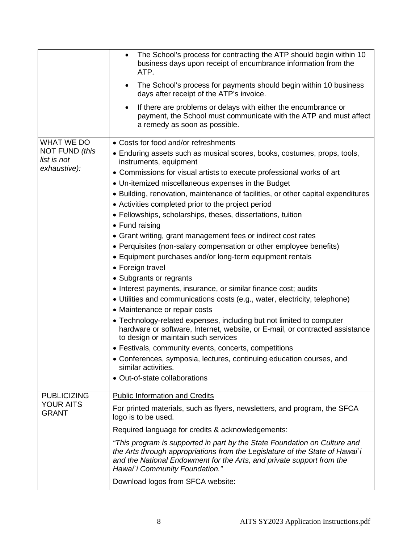|                                                             | The School's process for contracting the ATP should begin within 10<br>$\bullet$<br>business days upon receipt of encumbrance information from the<br>ATP.<br>The School's process for payments should begin within 10 business<br>days after receipt of the ATP's invoice.                                                                                                                                                                                                                                                                                                                                                                                                                                                                                                                                                                                                                                                                                                                                                                                                                                                                                                                                                                                                                                                      |
|-------------------------------------------------------------|----------------------------------------------------------------------------------------------------------------------------------------------------------------------------------------------------------------------------------------------------------------------------------------------------------------------------------------------------------------------------------------------------------------------------------------------------------------------------------------------------------------------------------------------------------------------------------------------------------------------------------------------------------------------------------------------------------------------------------------------------------------------------------------------------------------------------------------------------------------------------------------------------------------------------------------------------------------------------------------------------------------------------------------------------------------------------------------------------------------------------------------------------------------------------------------------------------------------------------------------------------------------------------------------------------------------------------|
|                                                             | If there are problems or delays with either the encumbrance or<br>payment, the School must communicate with the ATP and must affect<br>a remedy as soon as possible.                                                                                                                                                                                                                                                                                                                                                                                                                                                                                                                                                                                                                                                                                                                                                                                                                                                                                                                                                                                                                                                                                                                                                             |
| WHAT WE DO<br>NOT FUND (this<br>list is not<br>exhaustive): | • Costs for food and/or refreshments<br>• Enduring assets such as musical scores, books, costumes, props, tools,<br>instruments, equipment<br>• Commissions for visual artists to execute professional works of art<br>• Un-itemized miscellaneous expenses in the Budget<br>• Building, renovation, maintenance of facilities, or other capital expenditures<br>• Activities completed prior to the project period<br>• Fellowships, scholarships, theses, dissertations, tuition<br>• Fund raising<br>• Grant writing, grant management fees or indirect cost rates<br>• Perquisites (non-salary compensation or other employee benefits)<br>• Equipment purchases and/or long-term equipment rentals<br>• Foreign travel<br>• Subgrants or regrants<br>• Interest payments, insurance, or similar finance cost; audits<br>• Utilities and communications costs (e.g., water, electricity, telephone)<br>• Maintenance or repair costs<br>• Technology-related expenses, including but not limited to computer<br>hardware or software, Internet, website, or E-mail, or contracted assistance<br>to design or maintain such services<br>• Festivals, community events, concerts, competitions<br>• Conferences, symposia, lectures, continuing education courses, and<br>similar activities.<br>• Out-of-state collaborations |
| <b>PUBLICIZING</b><br><b>YOUR AITS</b><br><b>GRANT</b>      | <b>Public Information and Credits</b><br>For printed materials, such as flyers, newsletters, and program, the SFCA<br>logo is to be used.                                                                                                                                                                                                                                                                                                                                                                                                                                                                                                                                                                                                                                                                                                                                                                                                                                                                                                                                                                                                                                                                                                                                                                                        |
|                                                             | Required language for credits & acknowledgements:                                                                                                                                                                                                                                                                                                                                                                                                                                                                                                                                                                                                                                                                                                                                                                                                                                                                                                                                                                                                                                                                                                                                                                                                                                                                                |
|                                                             | "This program is supported in part by the State Foundation on Culture and<br>the Arts through appropriations from the Legislature of the State of Hawai'i<br>and the National Endowment for the Arts, and private support from the<br>Hawai'i Community Foundation."                                                                                                                                                                                                                                                                                                                                                                                                                                                                                                                                                                                                                                                                                                                                                                                                                                                                                                                                                                                                                                                             |
|                                                             | Download logos from SFCA website:                                                                                                                                                                                                                                                                                                                                                                                                                                                                                                                                                                                                                                                                                                                                                                                                                                                                                                                                                                                                                                                                                                                                                                                                                                                                                                |